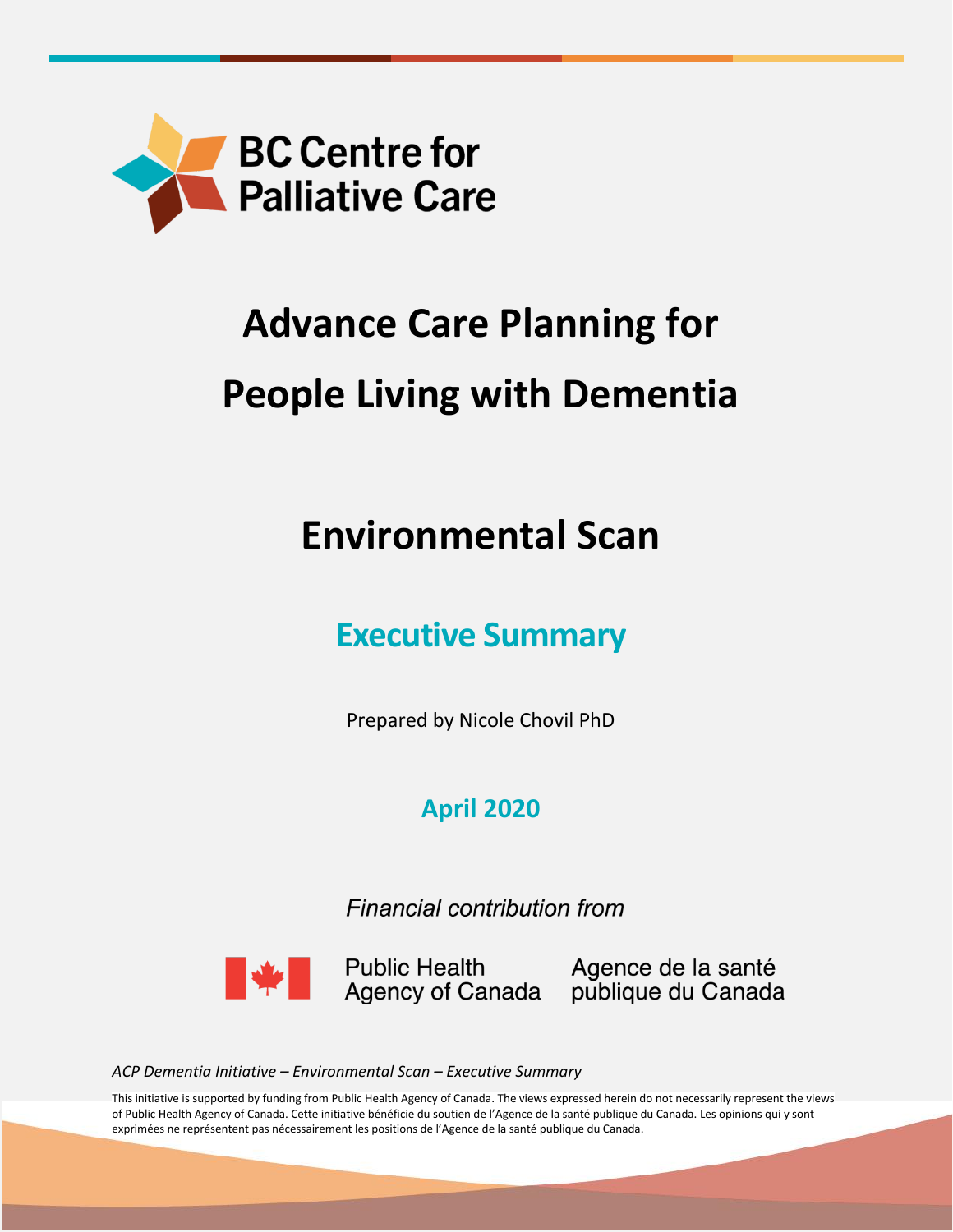

# **Advance Care Planning for People Living with Dementia**

## **Environmental Scan**

## **Executive Summary**

Prepared by Nicole Chovil PhD

### **April 2020**

Financial contribution from



Public Health Magence de la santé<br>Agency of Canada publique du Canada

*ACP Dementia Initiative – Environmental Scan – Executive Summary*

This initiative is supported by funding from Public Health Agency of Canada. The views expressed herein do not necessarily represent the views of Public Health Agency of Canada. Cette initiative bénéficie du soutien de l'Agence de la santé publique du Canada. Les opinions qui y sont exprimées ne représentent pas nécessairement les positions de l'Agence de la santé publique du Canada.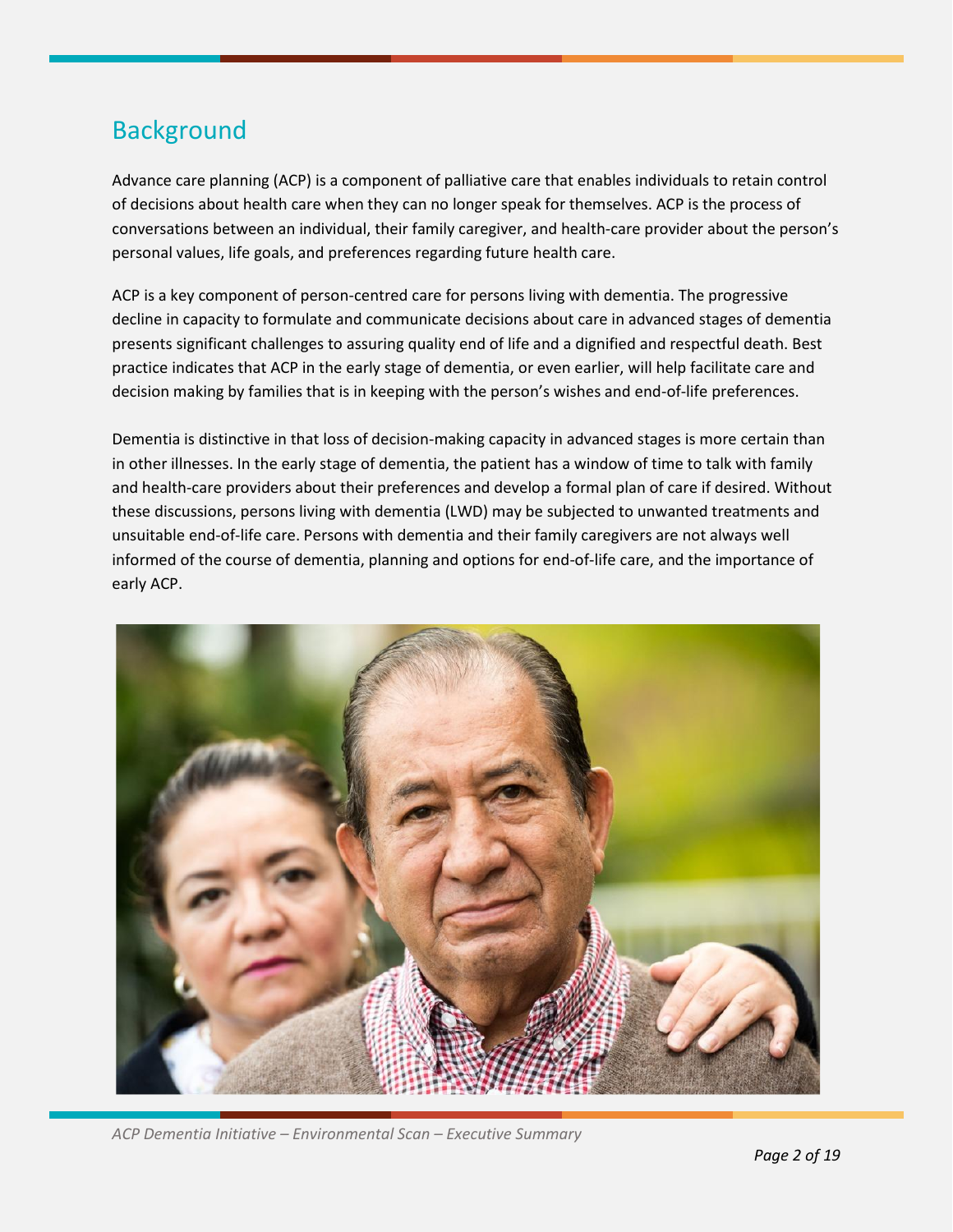### **Background**

Advance care planning (ACP) is a component of palliative care that enables individuals to retain control of decisions about health care when they can no longer speak for themselves. ACP is the process of conversations between an individual, their family caregiver, and health-care provider about the person's personal values, life goals, and preferences regarding future health care.

ACP is a key component of person-centred care for persons living with dementia. The progressive decline in capacity to formulate and communicate decisions about care in advanced stages of dementia presents significant challenges to assuring quality end of life and a dignified and respectful death. Best practice indicates that ACP in the early stage of dementia, or even earlier, will help facilitate care and decision making by families that is in keeping with the person's wishes and end-of-life preferences.

Dementia is distinctive in that loss of decision-making capacity in advanced stages is more certain than in other illnesses. In the early stage of dementia, the patient has a window of time to talk with family and health-care providers about their preferences and develop a formal plan of care if desired. Without these discussions, persons living with dementia (LWD) may be subjected to unwanted treatments and unsuitable end-of-life care. Persons with dementia and their family caregivers are not always well informed of the course of dementia, planning and options for end-of-life care, and the importance of early ACP.



*ACP Dementia Initiative – Environmental Scan – Executive Summary*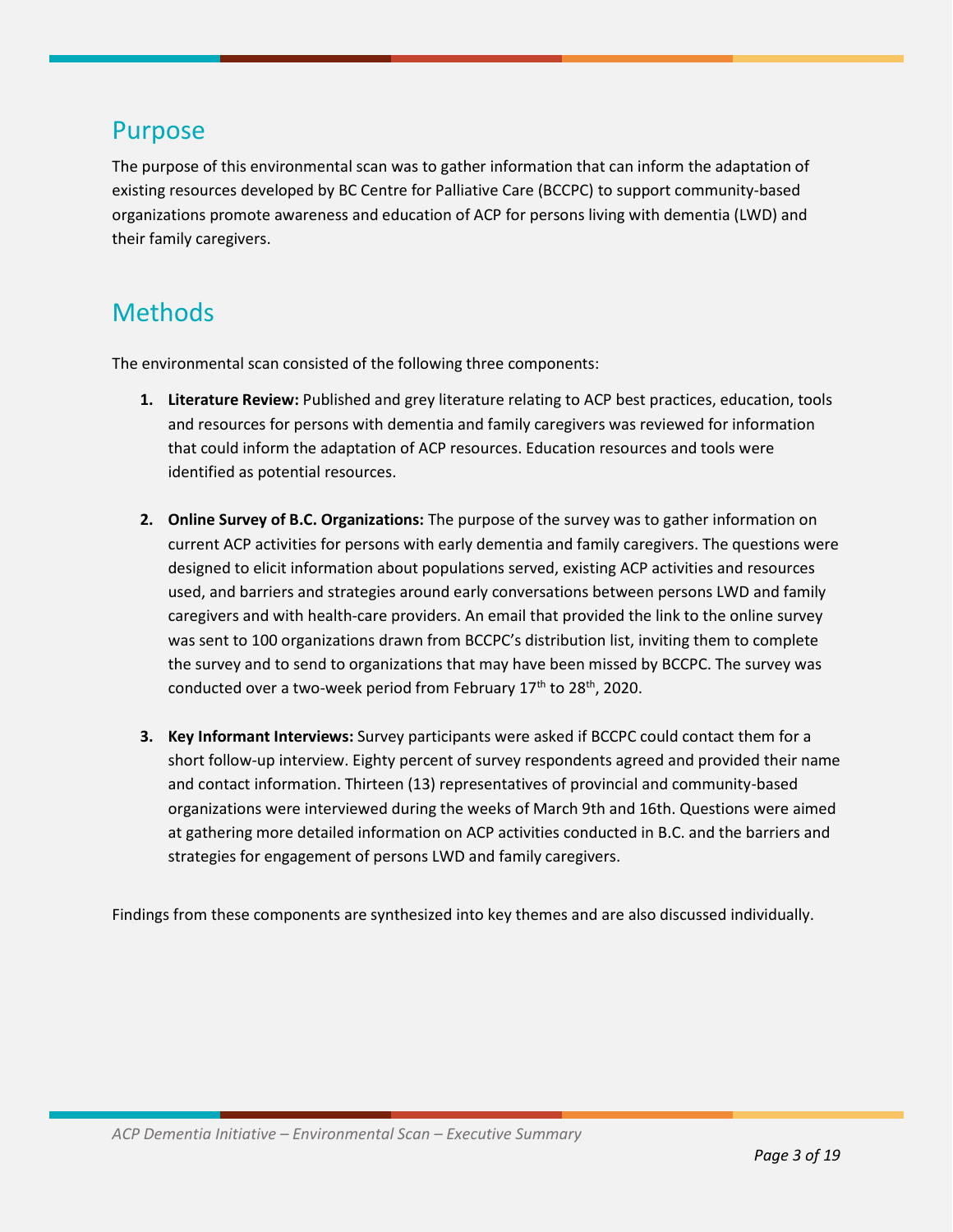### Purpose

The purpose of this environmental scan was to gather information that can inform the adaptation of existing resources developed by BC Centre for Palliative Care (BCCPC) to support community-based organizations promote awareness and education of ACP for persons living with dementia (LWD) and their family caregivers.

### Methods

The environmental scan consisted of the following three components:

- **1. Literature Review:** Published and grey literature relating to ACP best practices, education, tools and resources for persons with dementia and family caregivers was reviewed for information that could inform the adaptation of ACP resources. Education resources and tools were identified as potential resources.
- **2. Online Survey of B.C. Organizations:** The purpose of the survey was to gather information on current ACP activities for persons with early dementia and family caregivers. The questions were designed to elicit information about populations served, existing ACP activities and resources used, and barriers and strategies around early conversations between persons LWD and family caregivers and with health-care providers. An email that provided the link to the online survey was sent to 100 organizations drawn from BCCPC's distribution list, inviting them to complete the survey and to send to organizations that may have been missed by BCCPC. The survey was conducted over a two-week period from February  $17<sup>th</sup>$  to  $28<sup>th</sup>$ , 2020.
- **3. Key Informant Interviews:** Survey participants were asked if BCCPC could contact them for a short follow-up interview. Eighty percent of survey respondents agreed and provided their name and contact information. Thirteen (13) representatives of provincial and community-based organizations were interviewed during the weeks of March 9th and 16th. Questions were aimed at gathering more detailed information on ACP activities conducted in B.C. and the barriers and strategies for engagement of persons LWD and family caregivers.

Findings from these components are synthesized into key themes and are also discussed individually.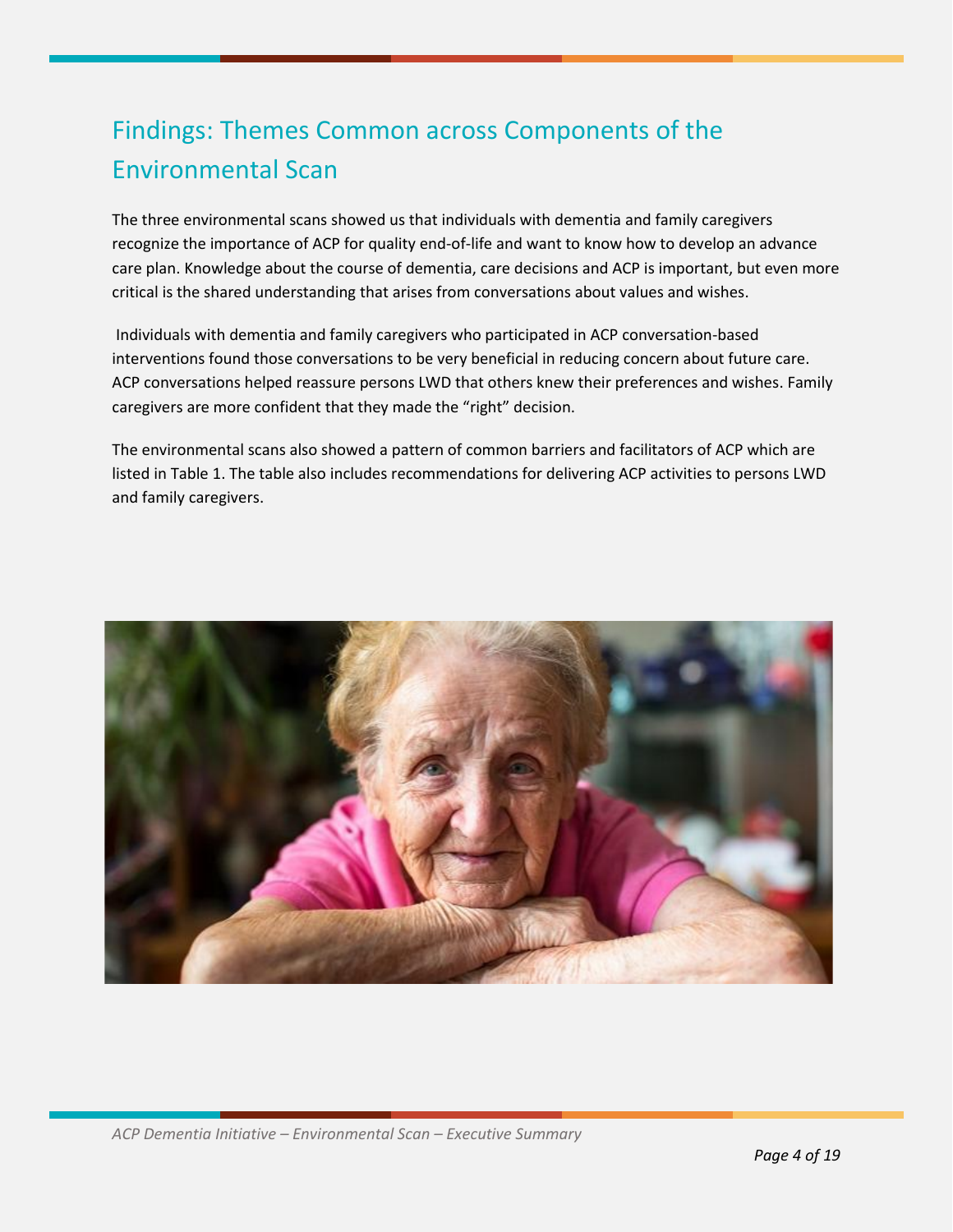### Findings: Themes Common across Components of the Environmental Scan

The three environmental scans showed us that individuals with dementia and family caregivers recognize the importance of ACP for quality end-of-life and want to know how to develop an advance care plan. Knowledge about the course of dementia, care decisions and ACP is important, but even more critical is the shared understanding that arises from conversations about values and wishes.

Individuals with dementia and family caregivers who participated in ACP conversation-based interventions found those conversations to be very beneficial in reducing concern about future care. ACP conversations helped reassure persons LWD that others knew their preferences and wishes. Family caregivers are more confident that they made the "right" decision.

The environmental scans also showed a pattern of common barriers and facilitators of ACP which are listed in Table 1. The table also includes recommendations for delivering ACP activities to persons LWD and family caregivers.

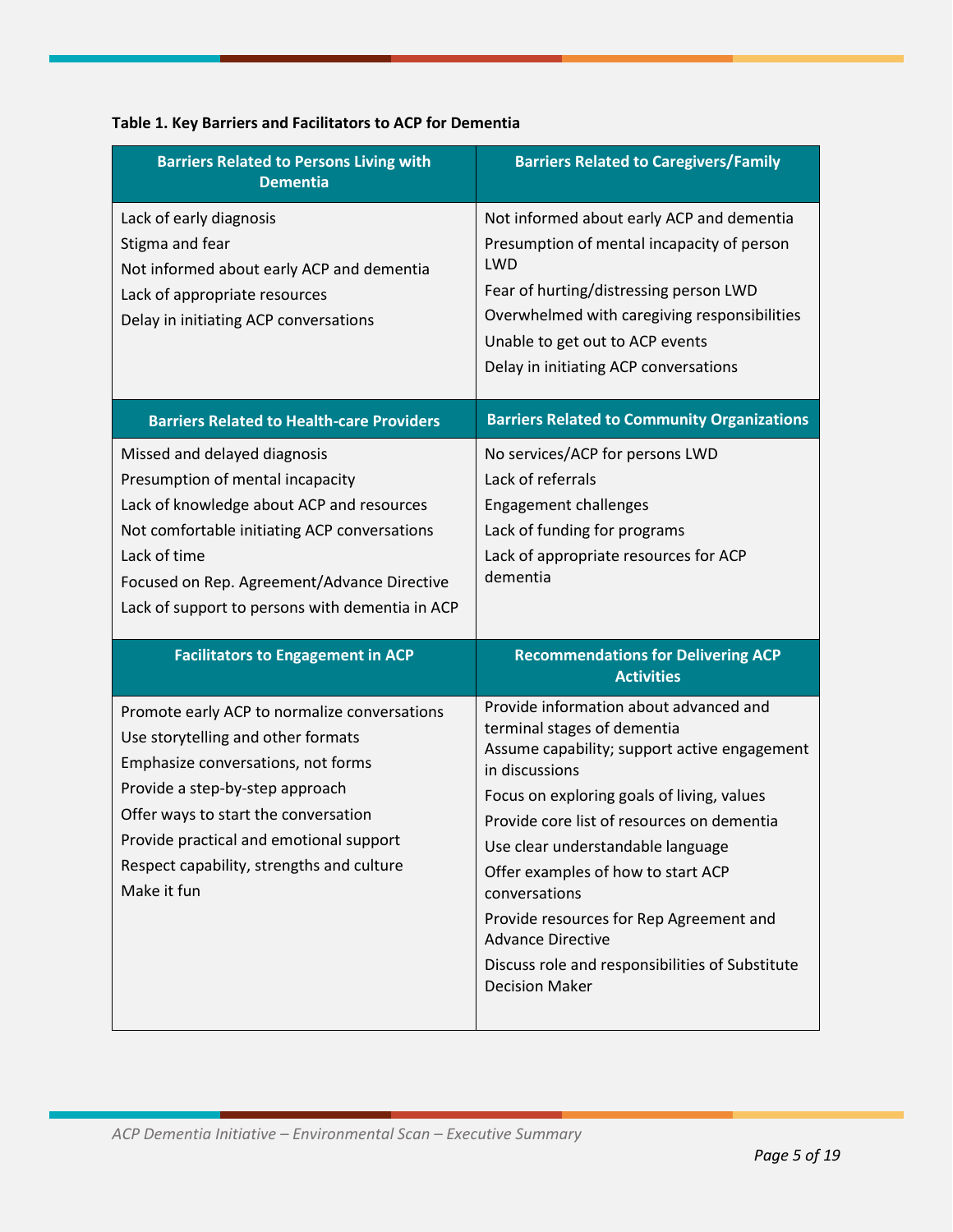| <b>Barriers Related to Persons Living with</b><br><b>Dementia</b>                                                                                                                                                                                                                                          | <b>Barriers Related to Caregivers/Family</b>                                                                                                                                                                                                                                                                                                                                                                                                                                       |
|------------------------------------------------------------------------------------------------------------------------------------------------------------------------------------------------------------------------------------------------------------------------------------------------------------|------------------------------------------------------------------------------------------------------------------------------------------------------------------------------------------------------------------------------------------------------------------------------------------------------------------------------------------------------------------------------------------------------------------------------------------------------------------------------------|
| Lack of early diagnosis<br>Stigma and fear<br>Not informed about early ACP and dementia<br>Lack of appropriate resources<br>Delay in initiating ACP conversations                                                                                                                                          | Not informed about early ACP and dementia<br>Presumption of mental incapacity of person<br>LWD<br>Fear of hurting/distressing person LWD<br>Overwhelmed with caregiving responsibilities<br>Unable to get out to ACP events<br>Delay in initiating ACP conversations                                                                                                                                                                                                               |
| <b>Barriers Related to Health-care Providers</b>                                                                                                                                                                                                                                                           | <b>Barriers Related to Community Organizations</b>                                                                                                                                                                                                                                                                                                                                                                                                                                 |
| Missed and delayed diagnosis<br>Presumption of mental incapacity<br>Lack of knowledge about ACP and resources<br>Not comfortable initiating ACP conversations<br>Lack of time<br>Focused on Rep. Agreement/Advance Directive<br>Lack of support to persons with dementia in ACP                            | No services/ACP for persons LWD<br>Lack of referrals<br><b>Engagement challenges</b><br>Lack of funding for programs<br>Lack of appropriate resources for ACP<br>dementia                                                                                                                                                                                                                                                                                                          |
| <b>Facilitators to Engagement in ACP</b>                                                                                                                                                                                                                                                                   | <b>Recommendations for Delivering ACP</b><br><b>Activities</b>                                                                                                                                                                                                                                                                                                                                                                                                                     |
| Promote early ACP to normalize conversations<br>Use storytelling and other formats<br>Emphasize conversations, not forms<br>Provide a step-by-step approach<br>Offer ways to start the conversation<br>Provide practical and emotional support<br>Respect capability, strengths and culture<br>Make it fun | Provide information about advanced and<br>terminal stages of dementia<br>Assume capability; support active engagement<br>in discussions<br>Focus on exploring goals of living, values<br>Provide core list of resources on dementia<br>Use clear understandable language<br>Offer examples of how to start ACP<br>conversations<br>Provide resources for Rep Agreement and<br><b>Advance Directive</b><br>Discuss role and responsibilities of Substitute<br><b>Decision Maker</b> |

#### **Table 1. Key Barriers and Facilitators to ACP for Dementia**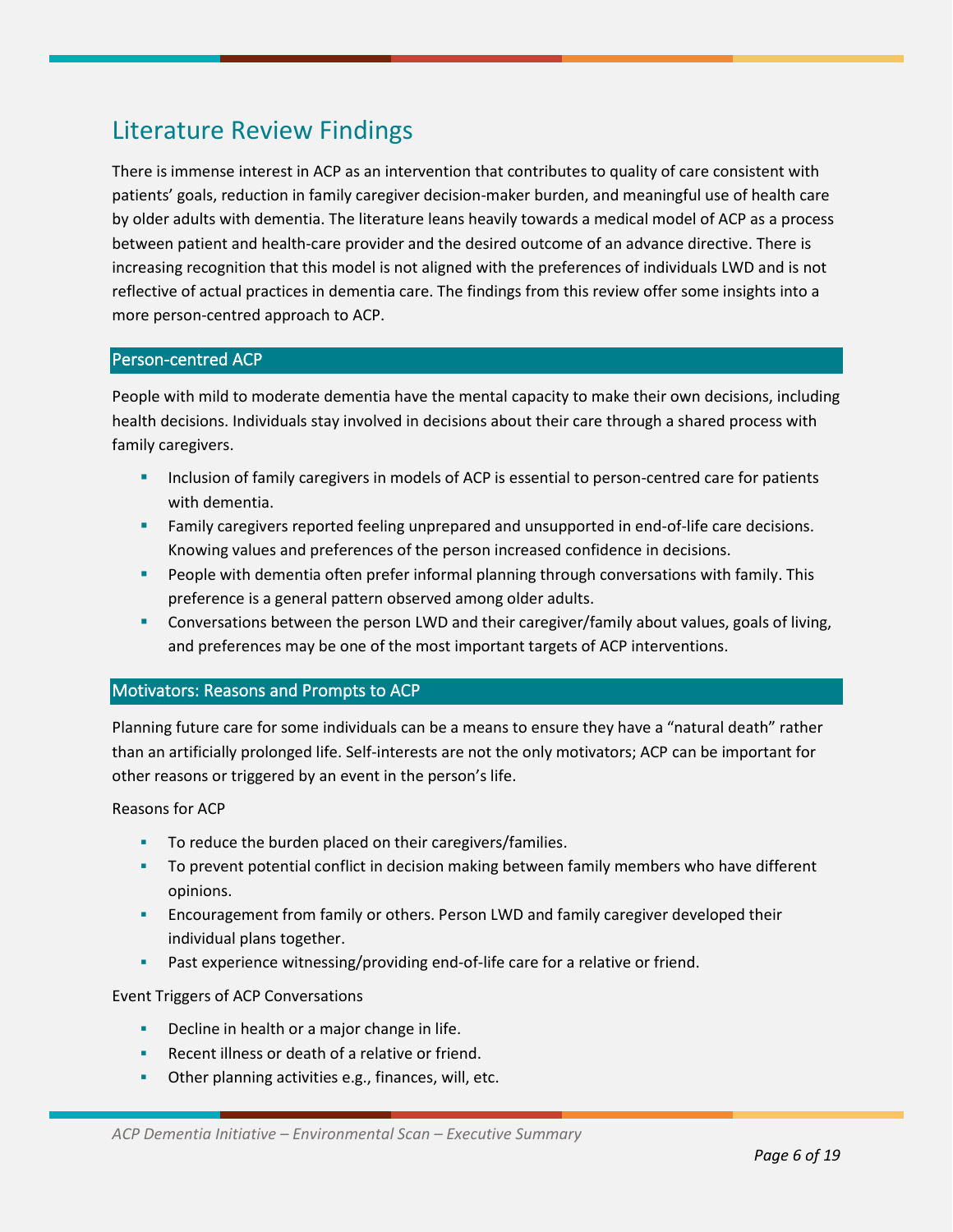### Literature Review Findings

There is immense interest in ACP as an intervention that contributes to quality of care consistent with patients' goals, reduction in family caregiver decision-maker burden, and meaningful use of health care by older adults with dementia. The literature leans heavily towards a medical model of ACP as a process between patient and health-care provider and the desired outcome of an advance directive. There is increasing recognition that this model is not aligned with the preferences of individuals LWD and is not reflective of actual practices in dementia care. The findings from this review offer some insights into a more person-centred approach to ACP.

#### Person-centred ACP

People with mild to moderate dementia have the mental capacity to make their own decisions, including health decisions. Individuals stay involved in decisions about their care through a shared process with family caregivers.

- **■** Inclusion of family caregivers in models of ACP is essential to person-centred care for patients with dementia.
- **EXECT:** Family caregivers reported feeling unprepared and unsupported in end-of-life care decisions. Knowing values and preferences of the person increased confidence in decisions.
- People with dementia often prefer informal planning through conversations with family. This preference is a general pattern observed among older adults.
- **EXECONVERGENTS ASSET CONVERTS ASSET LANS** and their caregiver/family about values, goals of living, and preferences may be one of the most important targets of ACP interventions.

#### Motivators: Reasons and Prompts to ACP

Planning future care for some individuals can be a means to ensure they have a "natural death" rather than an artificially prolonged life. Self-interests are not the only motivators; ACP can be important for other reasons or triggered by an event in the person's life.

#### Reasons for ACP

- **•** To reduce the burden placed on their caregivers/families.
- To prevent potential conflict in decision making between family members who have different opinions.
- **EXECUTE 1** Encouragement from family or others. Person LWD and family caregiver developed their individual plans together.
- **•** Past experience witnessing/providing end-of-life care for a relative or friend.

#### Event Triggers of ACP Conversations

- Decline in health or a major change in life.
- Recent illness or death of a relative or friend.
- **Other planning activities e.g., finances, will, etc.**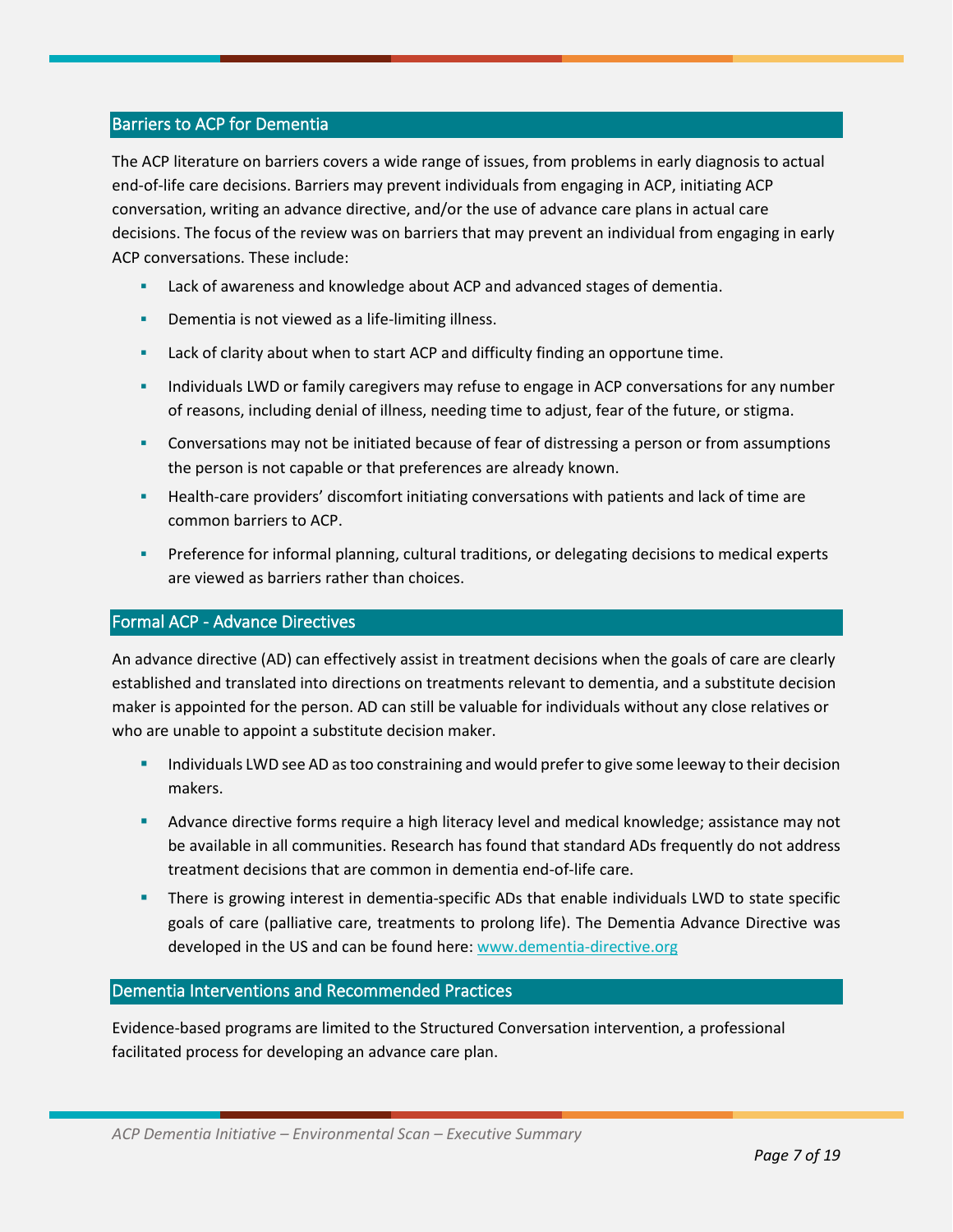#### Barriers to ACP for Dementia

The ACP literature on barriers covers a wide range of issues, from problems in early diagnosis to actual end-of-life care decisions. Barriers may prevent individuals from engaging in ACP, initiating ACP conversation, writing an advance directive, and/or the use of advance care plans in actual care decisions. The focus of the review was on barriers that may prevent an individual from engaging in early ACP conversations. These include:

- Lack of awareness and knowledge about ACP and advanced stages of dementia.
- Dementia is not viewed as a life-limiting illness.
- **EXECT** Lack of clarity about when to start ACP and difficulty finding an opportune time.
- **EXECT** Individuals LWD or family caregivers may refuse to engage in ACP conversations for any number of reasons, including denial of illness, needing time to adjust, fear of the future, or stigma.
- **•** Conversations may not be initiated because of fear of distressing a person or from assumptions the person is not capable or that preferences are already known.
- Health-care providers' discomfort initiating conversations with patients and lack of time are common barriers to ACP.
- Preference for informal planning, cultural traditions, or delegating decisions to medical experts are viewed as barriers rather than choices.

#### Formal ACP - Advance Directives

An advance directive (AD) can effectively assist in treatment decisions when the goals of care are clearly established and translated into directions on treatments relevant to dementia, and a substitute decision maker is appointed for the person. AD can still be valuable for individuals without any close relatives or who are unable to appoint a substitute decision maker.

- Individuals LWD see AD as too constraining and would prefer to give some leeway to their decision makers.
- **EXED Advance directive forms require a high literacy level and medical knowledge; assistance may not** be available in all communities. Research has found that standard ADs frequently do not address treatment decisions that are common in dementia end-of-life care.
- **■** There is growing interest in dementia-specific ADs that enable individuals LWD to state specific goals of care (palliative care, treatments to prolong life). The Dementia Advance Directive was developed in the US and can be found here: [www.dementia-directive.org](http://www.dementia-directive.org/)

#### Dementia Interventions and Recommended Practices

Evidence-based programs are limited to the Structured Conversation intervention, a professional facilitated process for developing an advance care plan.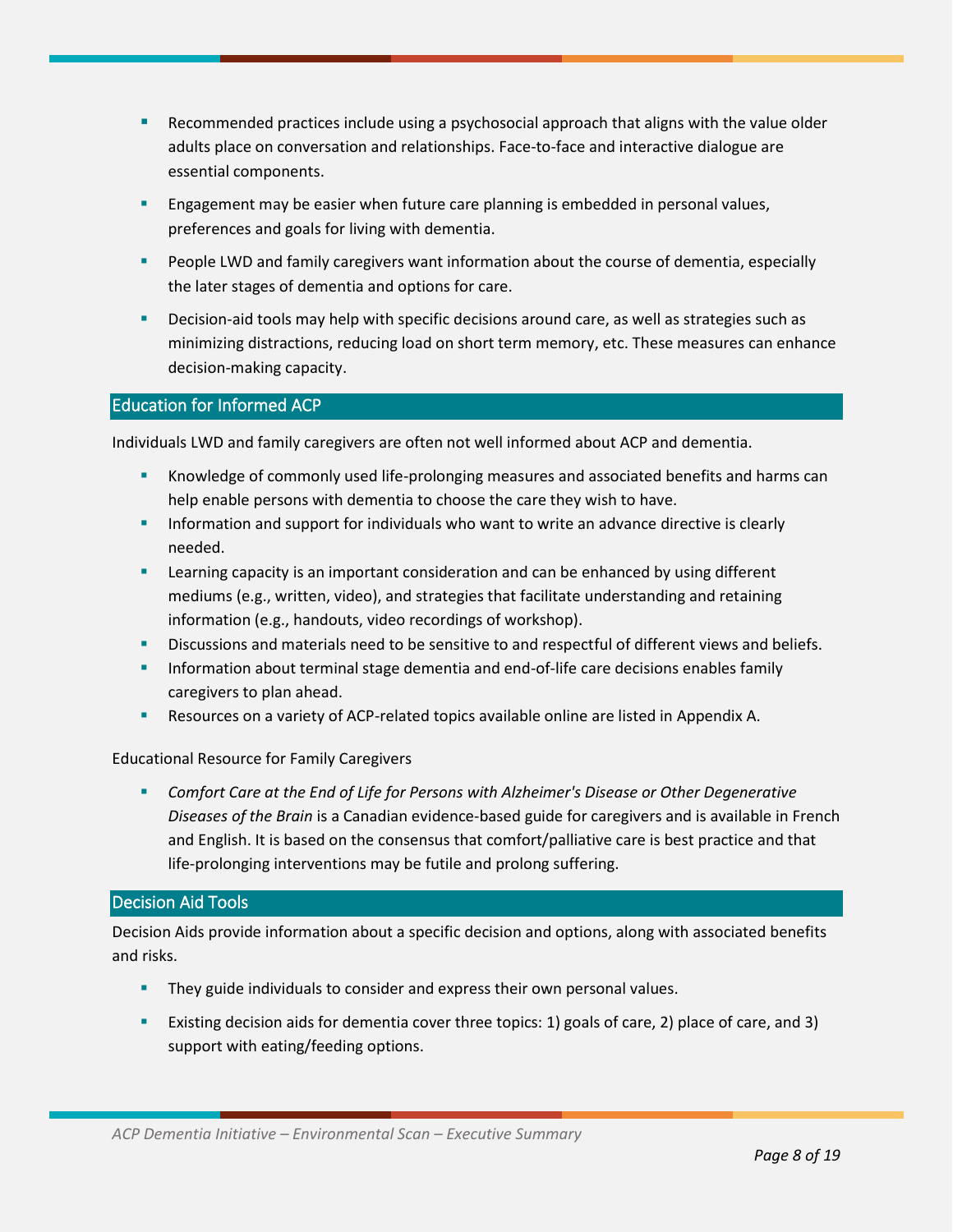- Recommended practices include using a psychosocial approach that aligns with the value older adults place on conversation and relationships. Face-to-face and interactive dialogue are essential components.
- Engagement may be easier when future care planning is embedded in personal values, preferences and goals for living with dementia.
- People LWD and family caregivers want information about the course of dementia, especially the later stages of dementia and options for care.
- Decision-aid tools may help with specific decisions around care, as well as strategies such as minimizing distractions, reducing load on short term memory, etc. These measures can enhance decision-making capacity.

#### Education for Informed ACP

Individuals LWD and family caregivers are often not well informed about ACP and dementia.

- Knowledge of commonly used life-prolonging measures and associated benefits and harms can help enable persons with dementia to choose the care they wish to have.
- **EXECT** Information and support for individuals who want to write an advance directive is clearly needed.
- **EXECT** Learning capacity is an important consideration and can be enhanced by using different mediums (e.g., written, video), and strategies that facilitate understanding and retaining information (e.g., handouts, video recordings of workshop).
- Discussions and materials need to be sensitive to and respectful of different views and beliefs.
- Information about terminal stage dementia and end-of-life care decisions enables family caregivers to plan ahead.
- Resources on a variety of ACP-related topics available online are listed in Appendix A.

#### Educational Resource for Family Caregivers

■ Comfort Care at the End of Life for Persons with Alzheimer's Disease or Other Degenerative *Diseases of the Brain* is a Canadian evidence-based guide for caregivers and is available in French and English. It is based on the consensus that comfort/palliative care is best practice and that life-prolonging interventions may be futile and prolong suffering.

#### Decision Aid Tools

Decision Aids provide information about a specific decision and options, along with associated benefits and risks.

- They guide individuals to consider and express their own personal values.
- Existing decision aids for dementia cover three topics: 1) goals of care, 2) place of care, and 3) support with eating/feeding options.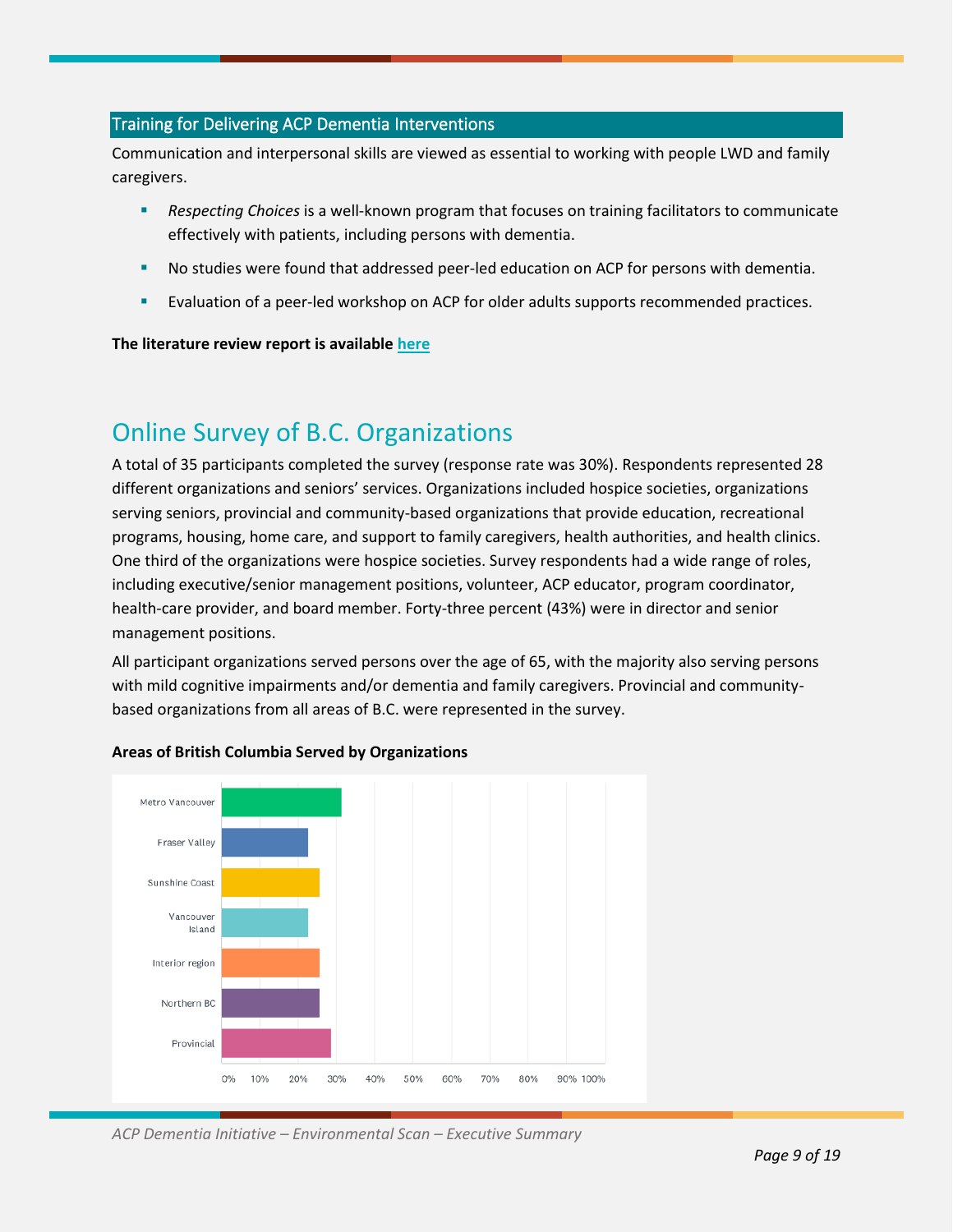#### Training for Delivering ACP Dementia Interventions

Communication and interpersonal skills are viewed as essential to working with people LWD and family caregivers.

- **EXECT** *Respecting Choices* is a well-known program that focuses on training facilitators to communicate effectively with patients, including persons with dementia.
- No studies were found that addressed peer-led education on ACP for persons with dementia.
- Evaluation of a peer-led workshop on ACP for older adults supports recommended practices.

#### **The literature review report is available [here](https://ihsts.sharepoint.com/:b:/s/PHAC-DementiaProject/EdcNbp4Joa5GgqjrWiEYQb8BEfXlHO64C4N0hEiX2vXhFA?e=7ptiXV)**

### Online Survey of B.C. Organizations

A total of 35 participants completed the survey (response rate was 30%). Respondents represented 28 different organizations and seniors' services. Organizations included hospice societies, organizations serving seniors, provincial and community-based organizations that provide education, recreational programs, housing, home care, and support to family caregivers, health authorities, and health clinics. One third of the organizations were hospice societies. Survey respondents had a wide range of roles, including executive/senior management positions, volunteer, ACP educator, program coordinator, health-care provider, and board member. Forty-three percent (43%) were in director and senior management positions.

All participant organizations served persons over the age of 65, with the majority also serving persons with mild cognitive impairments and/or dementia and family caregivers. Provincial and communitybased organizations from all areas of B.C. were represented in the survey.



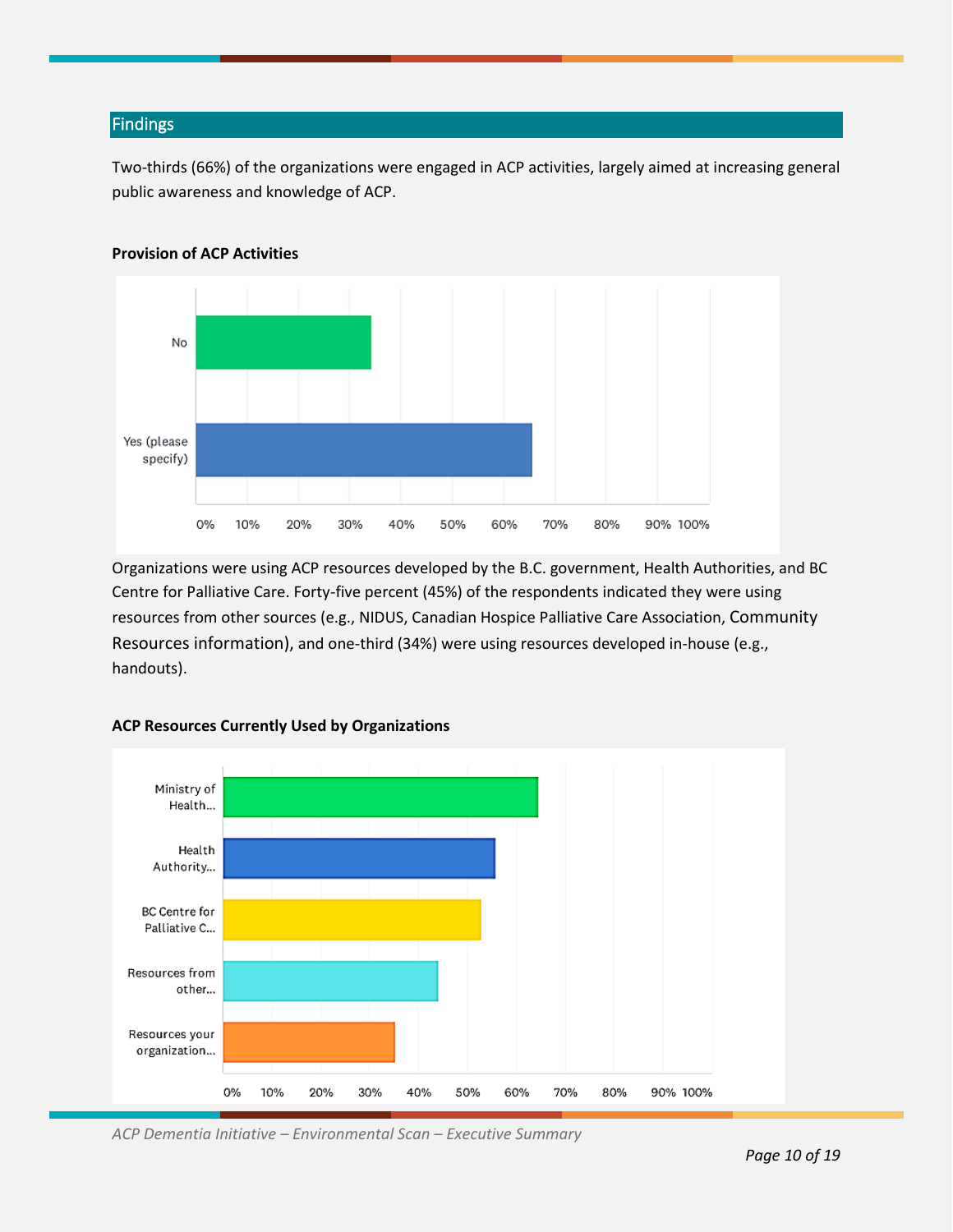#### Findings

Two-thirds (66%) of the organizations were engaged in ACP activities, largely aimed at increasing general public awareness and knowledge of ACP.



#### **Provision of ACP Activities**

Organizations were using ACP resources developed by the B.C. government, Health Authorities, and BC Centre for Palliative Care. Forty-five percent (45%) of the respondents indicated they were using resources from other sources (e.g., NIDUS, Canadian Hospice Palliative Care Association, Community Resources information), and one-third (34%) were using resources developed in-house (e.g., handouts).



#### **ACP Resources Currently Used by Organizations**

*ACP Dementia Initiative – Environmental Scan – Executive Summary*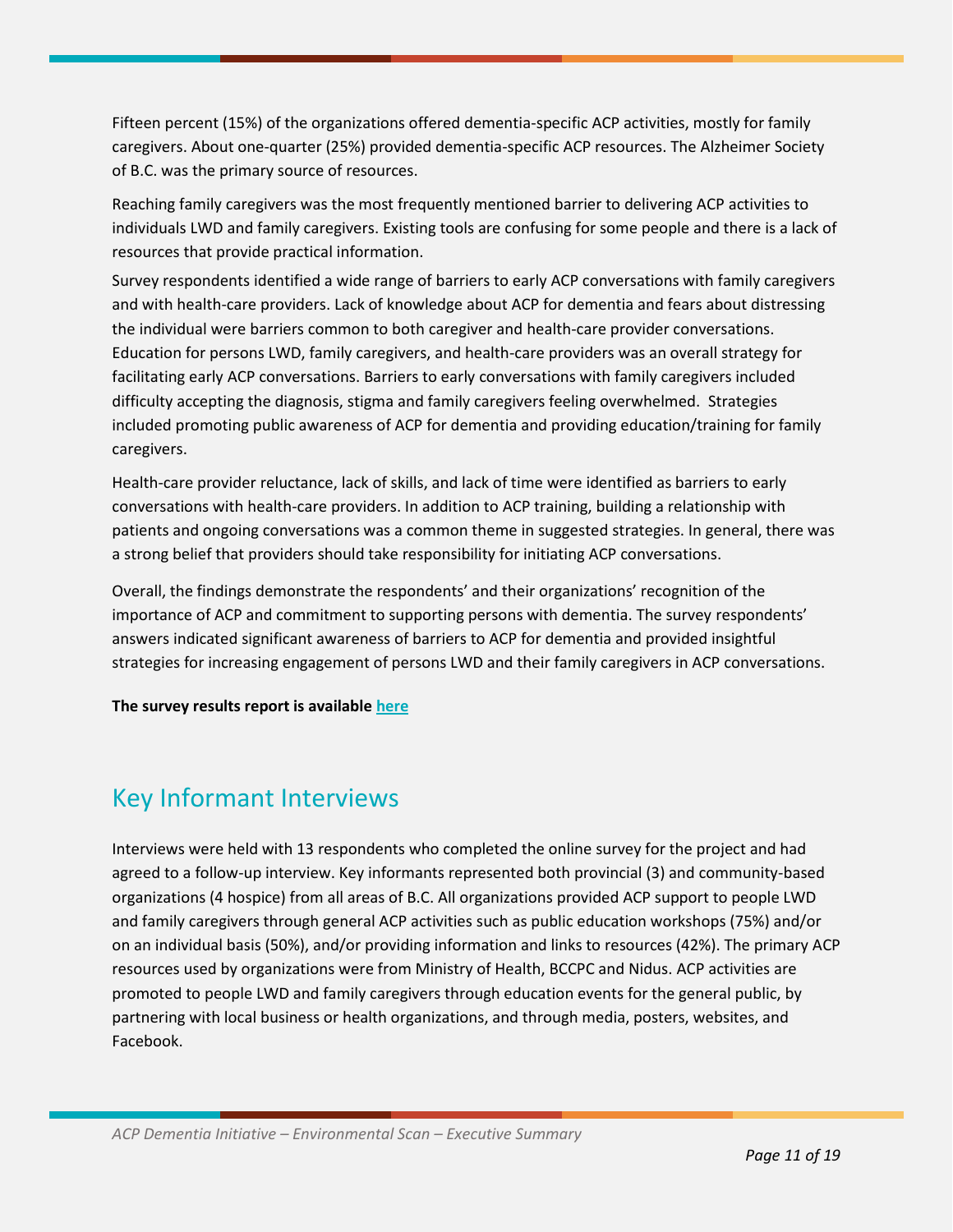Fifteen percent (15%) of the organizations offered dementia-specific ACP activities, mostly for family caregivers. About one-quarter (25%) provided dementia-specific ACP resources. The Alzheimer Society of B.C. was the primary source of resources.

Reaching family caregivers was the most frequently mentioned barrier to delivering ACP activities to individuals LWD and family caregivers. Existing tools are confusing for some people and there is a lack of resources that provide practical information.

Survey respondents identified a wide range of barriers to early ACP conversations with family caregivers and with health-care providers. Lack of knowledge about ACP for dementia and fears about distressing the individual were barriers common to both caregiver and health-care provider conversations. Education for persons LWD, family caregivers, and health-care providers was an overall strategy for facilitating early ACP conversations. Barriers to early conversations with family caregivers included difficulty accepting the diagnosis, stigma and family caregivers feeling overwhelmed. Strategies included promoting public awareness of ACP for dementia and providing education/training for family caregivers.

Health-care provider reluctance, lack of skills, and lack of time were identified as barriers to early conversations with health-care providers. In addition to ACP training, building a relationship with patients and ongoing conversations was a common theme in suggested strategies. In general, there was a strong belief that providers should take responsibility for initiating ACP conversations.

Overall, the findings demonstrate the respondents' and their organizations' recognition of the importance of ACP and commitment to supporting persons with dementia. The survey respondents' answers indicated significant awareness of barriers to ACP for dementia and provided insightful strategies for increasing engagement of persons LWD and their family caregivers in ACP conversations.

**The survey results report is availabl[e here](https://ihsts.sharepoint.com/:b:/s/PHAC-DementiaProject/ER9dIv491YlEmltVFD9MzmYBlcARPOn1agTNSWokqEJg-A?e=HcoMGh)**

### Key Informant Interviews

Interviews were held with 13 respondents who completed the online survey for the project and had agreed to a follow-up interview. Key informants represented both provincial (3) and community-based organizations (4 hospice) from all areas of B.C. All organizations provided ACP support to people LWD and family caregivers through general ACP activities such as public education workshops (75%) and/or on an individual basis (50%), and/or providing information and links to resources (42%). The primary ACP resources used by organizations were from Ministry of Health, BCCPC and Nidus. ACP activities are promoted to people LWD and family caregivers through education events for the general public, by partnering with local business or health organizations, and through media, posters, websites, and Facebook.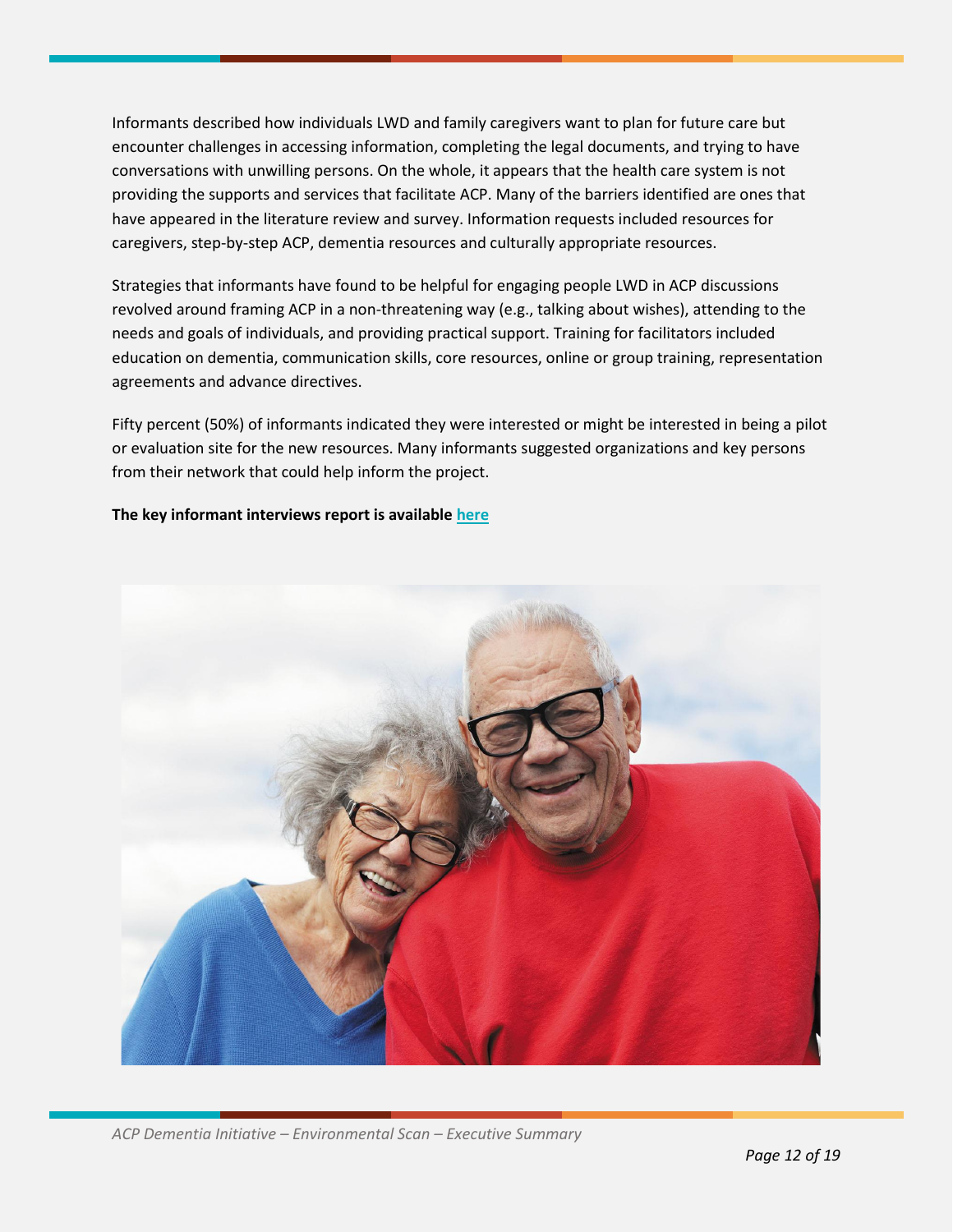Informants described how individuals LWD and family caregivers want to plan for future care but encounter challenges in accessing information, completing the legal documents, and trying to have conversations with unwilling persons. On the whole, it appears that the health care system is not providing the supports and services that facilitate ACP. Many of the barriers identified are ones that have appeared in the literature review and survey. Information requests included resources for caregivers, step-by-step ACP, dementia resources and culturally appropriate resources.

Strategies that informants have found to be helpful for engaging people LWD in ACP discussions revolved around framing ACP in a non-threatening way (e.g., talking about wishes), attending to the needs and goals of individuals, and providing practical support. Training for facilitators included education on dementia, communication skills, core resources, online or group training, representation agreements and advance directives.

Fifty percent (50%) of informants indicated they were interested or might be interested in being a pilot or evaluation site for the new resources. Many informants suggested organizations and key persons from their network that could help inform the project.

#### **The key informant interviews report is available [here](https://ihsts.sharepoint.com/:b:/s/PHAC-DementiaProject/Eb3gZQGiBMZCpCoqpXGx0xoBZw_Vq7NMW4LoELQiea6Vvw?e=VEvzxY)**

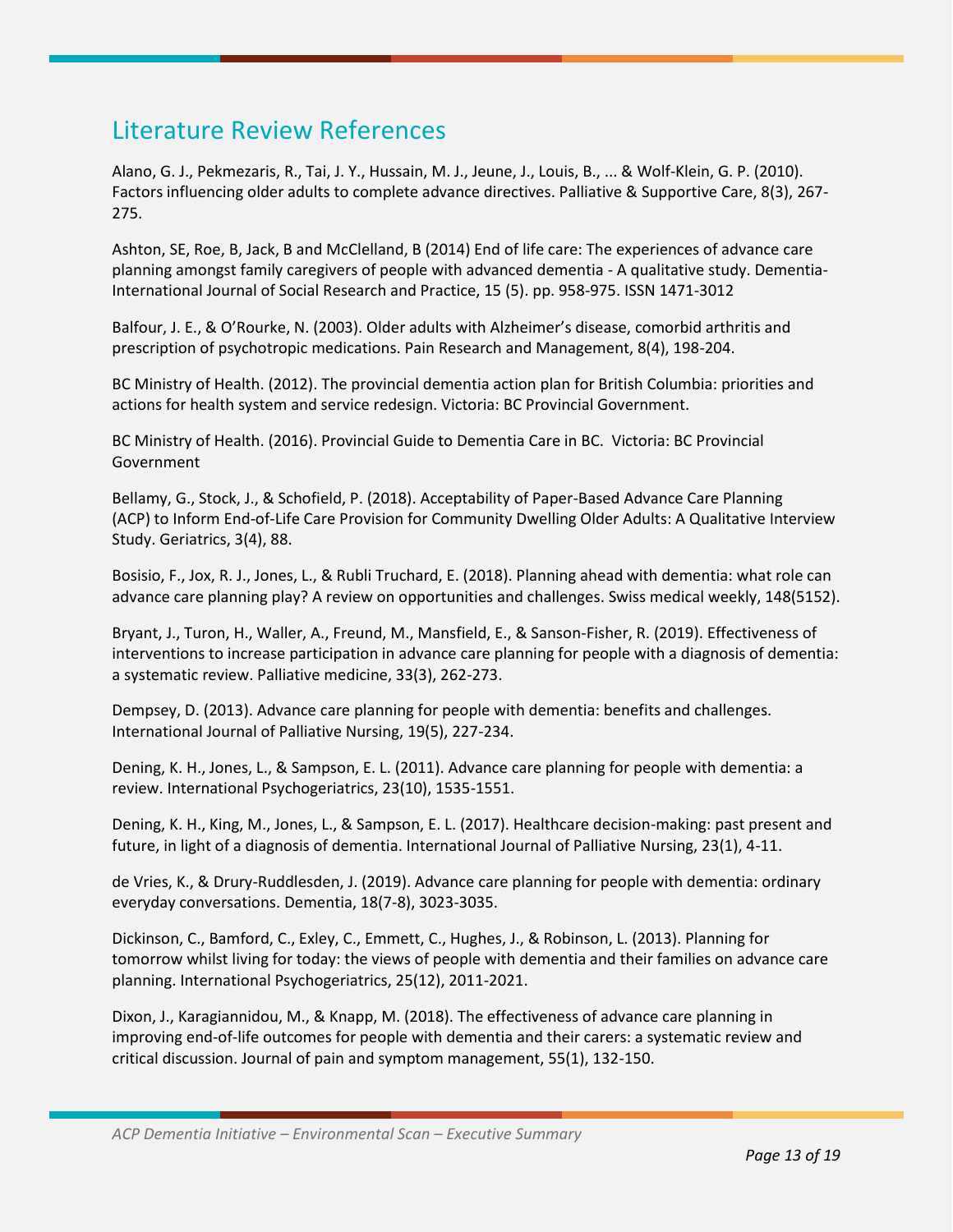### Literature Review References

Alano, G. J., Pekmezaris, R., Tai, J. Y., Hussain, M. J., Jeune, J., Louis, B., ... & Wolf-Klein, G. P. (2010). Factors influencing older adults to complete advance directives. Palliative & Supportive Care, 8(3), 267- 275.

Ashton, SE, Roe, B, Jack, B and McClelland, B (2014) End of life care: The experiences of advance care planning amongst family caregivers of people with advanced dementia - A qualitative study. Dementia-International Journal of Social Research and Practice, 15 (5). pp. 958-975. ISSN 1471-3012

Balfour, J. E., & O'Rourke, N. (2003). Older adults with Alzheimer's disease, comorbid arthritis and prescription of psychotropic medications. Pain Research and Management, 8(4), 198-204.

BC Ministry of Health. (2012). The provincial dementia action plan for British Columbia: priorities and actions for health system and service redesign. Victoria: BC Provincial Government.

BC Ministry of Health. (2016). Provincial Guide to Dementia Care in BC. Victoria: BC Provincial Government

Bellamy, G., Stock, J., & Schofield, P. (2018). Acceptability of Paper-Based Advance Care Planning (ACP) to Inform End-of-Life Care Provision for Community Dwelling Older Adults: A Qualitative Interview Study. Geriatrics, 3(4), 88.

Bosisio, F., Jox, R. J., Jones, L., & Rubli Truchard, E. (2018). Planning ahead with dementia: what role can advance care planning play? A review on opportunities and challenges. Swiss medical weekly, 148(5152).

Bryant, J., Turon, H., Waller, A., Freund, M., Mansfield, E., & Sanson-Fisher, R. (2019). Effectiveness of interventions to increase participation in advance care planning for people with a diagnosis of dementia: a systematic review. Palliative medicine, 33(3), 262-273.

Dempsey, D. (2013). Advance care planning for people with dementia: benefits and challenges. International Journal of Palliative Nursing, 19(5), 227-234.

Dening, K. H., Jones, L., & Sampson, E. L. (2011). Advance care planning for people with dementia: a review. International Psychogeriatrics, 23(10), 1535-1551.

Dening, K. H., King, M., Jones, L., & Sampson, E. L. (2017). Healthcare decision-making: past present and future, in light of a diagnosis of dementia. International Journal of Palliative Nursing, 23(1), 4-11.

de Vries, K., & Drury-Ruddlesden, J. (2019). Advance care planning for people with dementia: ordinary everyday conversations. Dementia, 18(7-8), 3023-3035.

Dickinson, C., Bamford, C., Exley, C., Emmett, C., Hughes, J., & Robinson, L. (2013). Planning for tomorrow whilst living for today: the views of people with dementia and their families on advance care planning. International Psychogeriatrics, 25(12), 2011-2021.

Dixon, J., Karagiannidou, M., & Knapp, M. (2018). The effectiveness of advance care planning in improving end-of-life outcomes for people with dementia and their carers: a systematic review and critical discussion. Journal of pain and symptom management, 55(1), 132-150.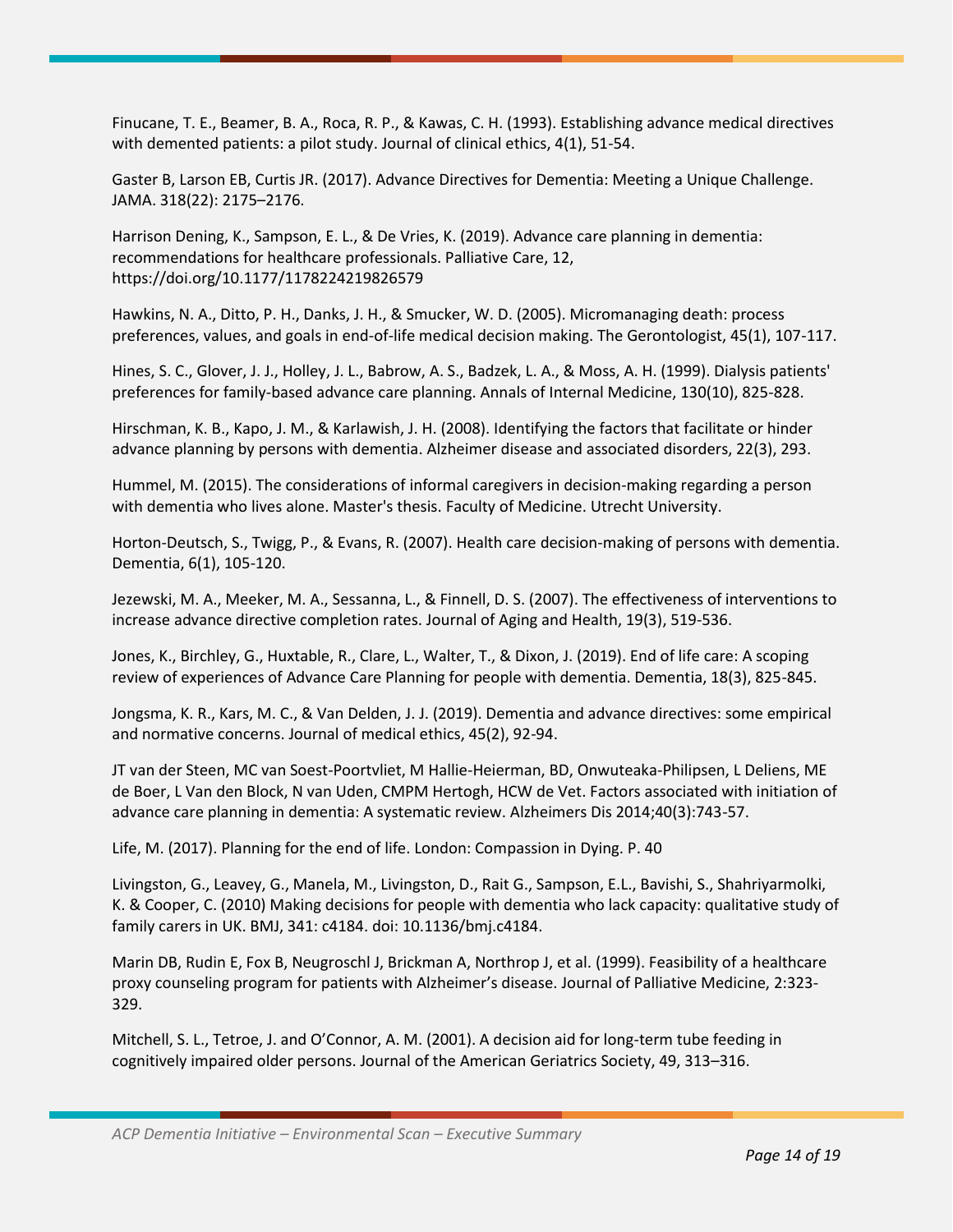Finucane, T. E., Beamer, B. A., Roca, R. P., & Kawas, C. H. (1993). Establishing advance medical directives with demented patients: a pilot study. Journal of clinical ethics, 4(1), 51-54.

Gaster B, Larson EB, Curtis JR. (2017). Advance Directives for Dementia: Meeting a Unique Challenge. JAMA. 318(22): 2175–2176.

Harrison Dening, K., Sampson, E. L., & De Vries, K. (2019). Advance care planning in dementia: recommendations for healthcare professionals. Palliative Care, 12, https://doi.org/10.1177/1178224219826579

Hawkins, N. A., Ditto, P. H., Danks, J. H., & Smucker, W. D. (2005). Micromanaging death: process preferences, values, and goals in end-of-life medical decision making. The Gerontologist, 45(1), 107-117.

Hines, S. C., Glover, J. J., Holley, J. L., Babrow, A. S., Badzek, L. A., & Moss, A. H. (1999). Dialysis patients' preferences for family-based advance care planning. Annals of Internal Medicine, 130(10), 825-828.

Hirschman, K. B., Kapo, J. M., & Karlawish, J. H. (2008). Identifying the factors that facilitate or hinder advance planning by persons with dementia. Alzheimer disease and associated disorders, 22(3), 293.

Hummel, M. (2015). The considerations of informal caregivers in decision-making regarding a person with dementia who lives alone. Master's thesis. Faculty of Medicine. Utrecht University.

Horton-Deutsch, S., Twigg, P., & Evans, R. (2007). Health care decision-making of persons with dementia. Dementia, 6(1), 105-120.

Jezewski, M. A., Meeker, M. A., Sessanna, L., & Finnell, D. S. (2007). The effectiveness of interventions to increase advance directive completion rates. Journal of Aging and Health, 19(3), 519-536.

Jones, K., Birchley, G., Huxtable, R., Clare, L., Walter, T., & Dixon, J. (2019). End of life care: A scoping review of experiences of Advance Care Planning for people with dementia. Dementia, 18(3), 825-845.

Jongsma, K. R., Kars, M. C., & Van Delden, J. J. (2019). Dementia and advance directives: some empirical and normative concerns. Journal of medical ethics, 45(2), 92-94.

JT van der Steen, MC van Soest-Poortvliet, M Hallie-Heierman, BD, Onwuteaka-Philipsen, L Deliens, ME de Boer, L Van den Block, N van Uden, CMPM Hertogh, HCW de Vet. Factors associated with initiation of advance care planning in dementia: A systematic review. Alzheimers Dis 2014;40(3):743-57.

Life, M. (2017). Planning for the end of life. London: Compassion in Dying. P. 40

Livingston, G., Leavey, G., Manela, M., Livingston, D., Rait G., Sampson, E.L., Bavishi, S., Shahriyarmolki, K. & Cooper, C. (2010) Making decisions for people with dementia who lack capacity: qualitative study of family carers in UK. BMJ, 341: c4184. doi: 10.1136/bmj.c4184.

Marin DB, Rudin E, Fox B, Neugroschl J, Brickman A, Northrop J, et al. (1999). Feasibility of a healthcare proxy counseling program for patients with Alzheimer's disease. Journal of Palliative Medicine, 2:323- 329.

Mitchell, S. L., Tetroe, J. and O'Connor, A. M. (2001). A decision aid for long-term tube feeding in cognitively impaired older persons. Journal of the American Geriatrics Society, 49, 313–316.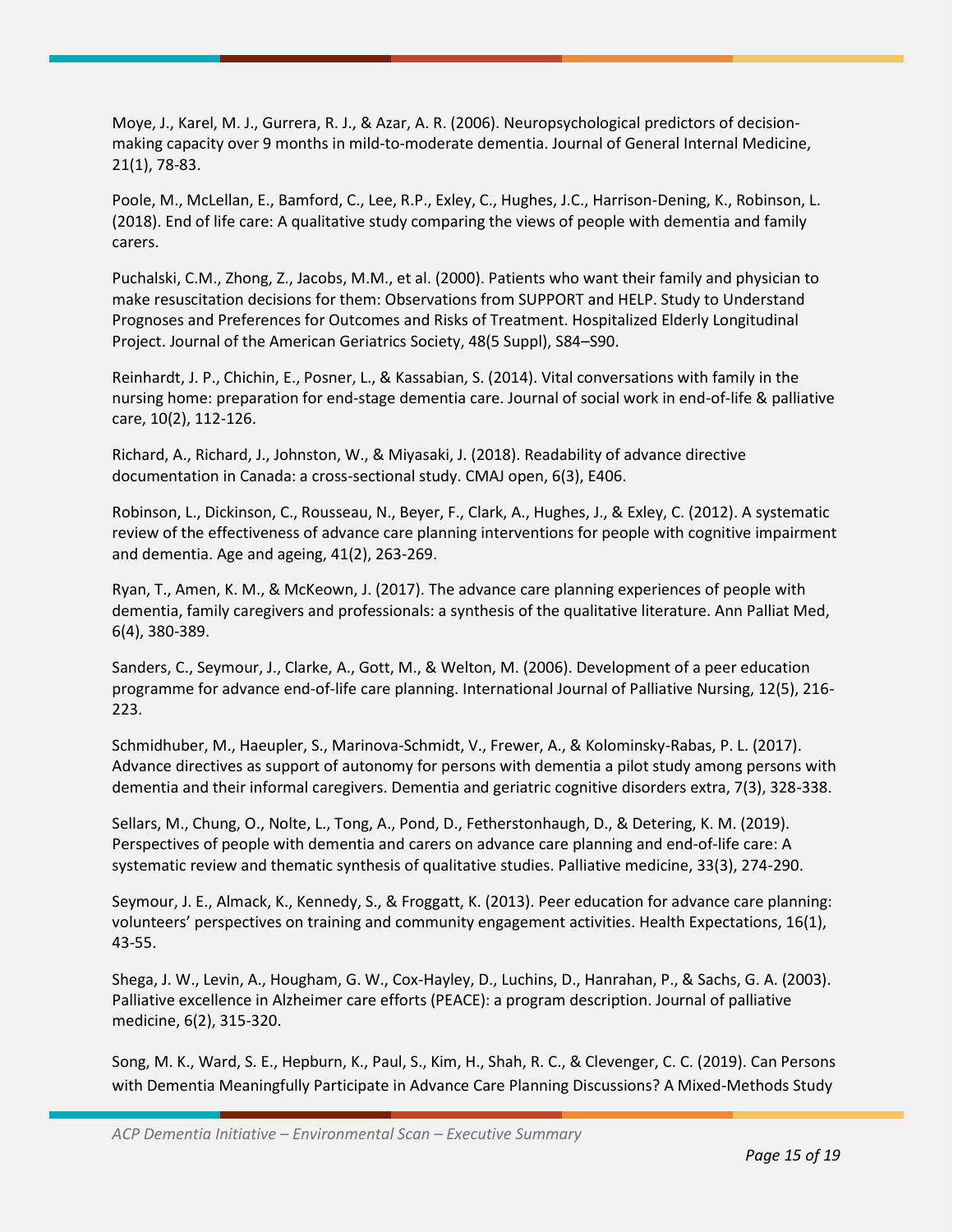Moye, J., Karel, M. J., Gurrera, R. J., & Azar, A. R. (2006). Neuropsychological predictors of decisionmaking capacity over 9 months in mild-to-moderate dementia. Journal of General Internal Medicine, 21(1), 78-83.

Poole, M., McLellan, E., Bamford, C., Lee, R.P., Exley, C., Hughes, J.C., Harrison-Dening, K., Robinson, L. (2018). End of life care: A qualitative study comparing the views of people with dementia and family carers.

Puchalski, C.M., Zhong, Z., Jacobs, M.M., et al. (2000). Patients who want their family and physician to make resuscitation decisions for them: Observations from SUPPORT and HELP. Study to Understand Prognoses and Preferences for Outcomes and Risks of Treatment. Hospitalized Elderly Longitudinal Project. Journal of the American Geriatrics Society, 48(5 Suppl), S84–S90.

Reinhardt, J. P., Chichin, E., Posner, L., & Kassabian, S. (2014). Vital conversations with family in the nursing home: preparation for end-stage dementia care. Journal of social work in end-of-life & palliative care, 10(2), 112-126.

Richard, A., Richard, J., Johnston, W., & Miyasaki, J. (2018). Readability of advance directive documentation in Canada: a cross-sectional study. CMAJ open, 6(3), E406.

Robinson, L., Dickinson, C., Rousseau, N., Beyer, F., Clark, A., Hughes, J., & Exley, C. (2012). A systematic review of the effectiveness of advance care planning interventions for people with cognitive impairment and dementia. Age and ageing, 41(2), 263-269.

Ryan, T., Amen, K. M., & McKeown, J. (2017). The advance care planning experiences of people with dementia, family caregivers and professionals: a synthesis of the qualitative literature. Ann Palliat Med, 6(4), 380-389.

Sanders, C., Seymour, J., Clarke, A., Gott, M., & Welton, M. (2006). Development of a peer education programme for advance end-of-life care planning. International Journal of Palliative Nursing, 12(5), 216- 223.

Schmidhuber, M., Haeupler, S., Marinova-Schmidt, V., Frewer, A., & Kolominsky-Rabas, P. L. (2017). Advance directives as support of autonomy for persons with dementia a pilot study among persons with dementia and their informal caregivers. Dementia and geriatric cognitive disorders extra, 7(3), 328-338.

Sellars, M., Chung, O., Nolte, L., Tong, A., Pond, D., Fetherstonhaugh, D., & Detering, K. M. (2019). Perspectives of people with dementia and carers on advance care planning and end-of-life care: A systematic review and thematic synthesis of qualitative studies. Palliative medicine, 33(3), 274-290.

Seymour, J. E., Almack, K., Kennedy, S., & Froggatt, K. (2013). Peer education for advance care planning: volunteers' perspectives on training and community engagement activities. Health Expectations, 16(1), 43-55.

Shega, J. W., Levin, A., Hougham, G. W., Cox-Hayley, D., Luchins, D., Hanrahan, P., & Sachs, G. A. (2003). Palliative excellence in Alzheimer care efforts (PEACE): a program description. Journal of palliative medicine, 6(2), 315-320.

Song, M. K., Ward, S. E., Hepburn, K., Paul, S., Kim, H., Shah, R. C., & Clevenger, C. C. (2019). Can Persons with Dementia Meaningfully Participate in Advance Care Planning Discussions? A Mixed-Methods Study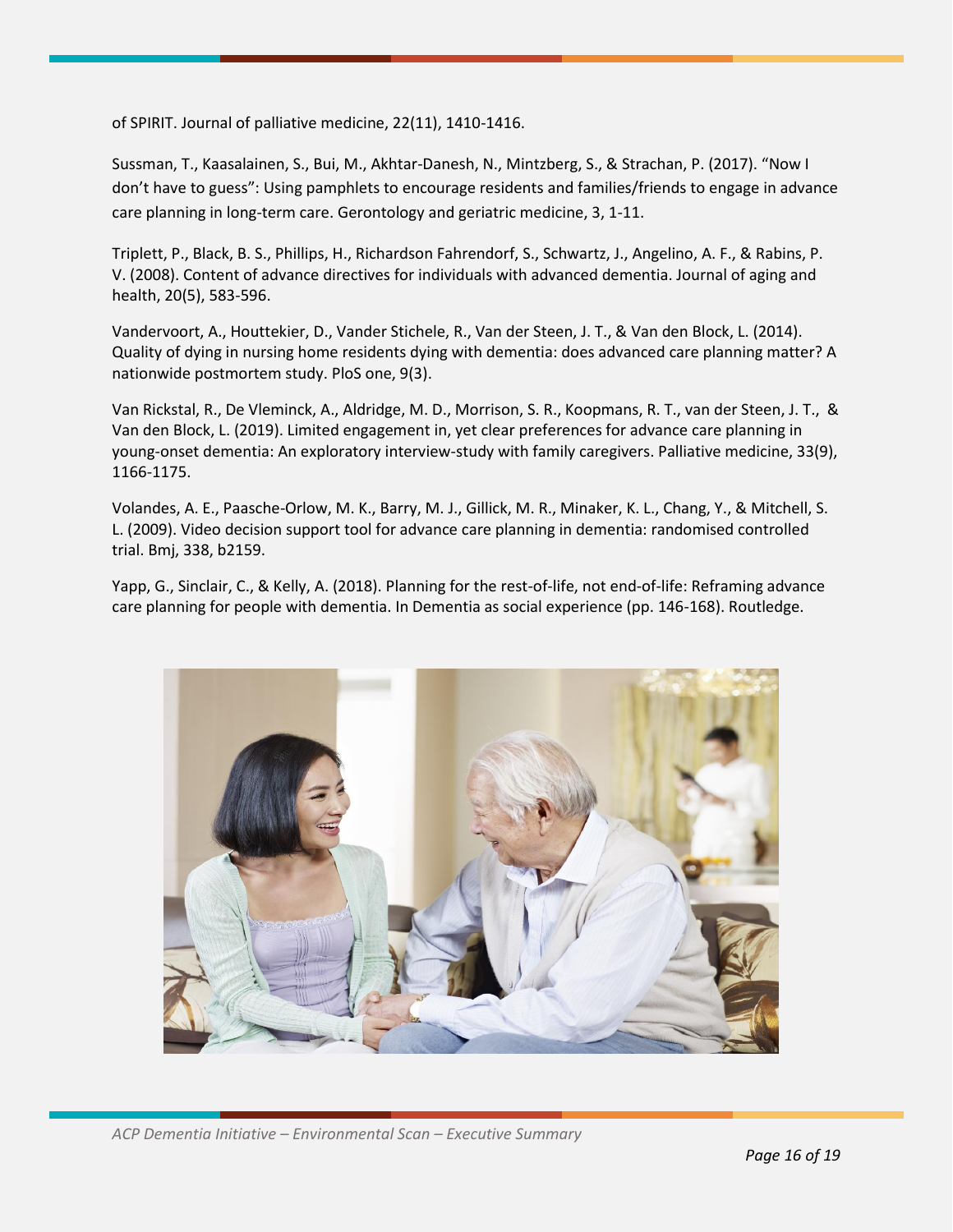of SPIRIT. Journal of palliative medicine, 22(11), 1410-1416.

Sussman, T., Kaasalainen, S., Bui, M., Akhtar-Danesh, N., Mintzberg, S., & Strachan, P. (2017). "Now I don't have to guess": Using pamphlets to encourage residents and families/friends to engage in advance care planning in long-term care. Gerontology and geriatric medicine, 3, 1-11.

Triplett, P., Black, B. S., Phillips, H., Richardson Fahrendorf, S., Schwartz, J., Angelino, A. F., & Rabins, P. V. (2008). Content of advance directives for individuals with advanced dementia. Journal of aging and health, 20(5), 583-596.

Vandervoort, A., Houttekier, D., Vander Stichele, R., Van der Steen, J. T., & Van den Block, L. (2014). Quality of dying in nursing home residents dying with dementia: does advanced care planning matter? A nationwide postmortem study. PloS one, 9(3).

Van Rickstal, R., De Vleminck, A., Aldridge, M. D., Morrison, S. R., Koopmans, R. T., van der Steen, J. T., & Van den Block, L. (2019). Limited engagement in, yet clear preferences for advance care planning in young-onset dementia: An exploratory interview-study with family caregivers. Palliative medicine, 33(9), 1166-1175.

Volandes, A. E., Paasche-Orlow, M. K., Barry, M. J., Gillick, M. R., Minaker, K. L., Chang, Y., & Mitchell, S. L. (2009). Video decision support tool for advance care planning in dementia: randomised controlled trial. Bmj, 338, b2159.

Yapp, G., Sinclair, C., & Kelly, A. (2018). Planning for the rest-of-life, not end-of-life: Reframing advance care planning for people with dementia. In Dementia as social experience (pp. 146-168). Routledge.

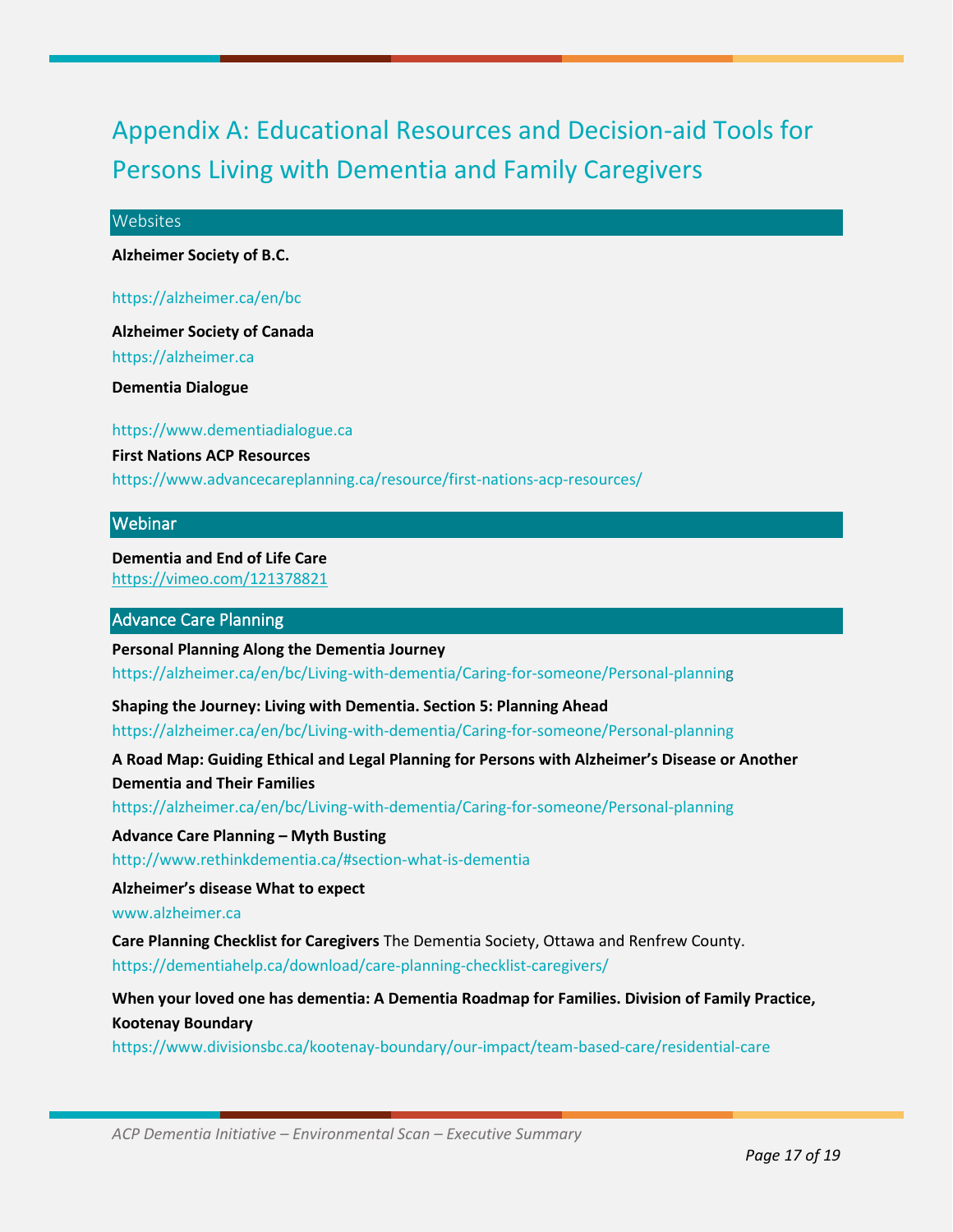### Appendix A: Educational Resources and Decision-aid Tools for Persons Living with Dementia and Family Caregivers

#### **Websites**

**Alzheimer Society of B.C.**

https://alzheimer.ca/en/bc

**Alzheimer Society of Canada**

https://alzheimer.ca

**Dementia Dialogue**

https://www.dementiadialogue.ca **First Nations ACP Resources** https://www.advancecareplanning.ca/resource/first-nations-acp-resources/

#### Webinar

**Dementia and End of Life Care** https://vimeo.com/121378821

#### Advance Care Planning

**Personal Planning Along the Dementia Journey** https://alzheimer.ca/en/bc/Living-with-dementia/Caring-for-someone/Personal-planning

**Shaping the Journey: Living with Dementia. Section 5: Planning Ahead**

https://alzheimer.ca/en/bc/Living-with-dementia/Caring-for-someone/Personal-planning

**A Road Map: Guiding Ethical and Legal Planning for Persons with Alzheimer's Disease or Another Dementia and Their Families**

https://alzheimer.ca/en/bc/Living-with-dementia/Caring-for-someone/Personal-planning

**Advance Care Planning – Myth Busting**

http://www.rethinkdementia.ca/#section-what-is-dementia

**Alzheimer's disease What to expect**

www.alzheimer.ca

**Care Planning Checklist for Caregivers** The Dementia Society, Ottawa and Renfrew County. https://dementiahelp.ca/download/care-planning-checklist-caregivers/

**When your loved one has dementia: A Dementia Roadmap for Families. Division of Family Practice, Kootenay Boundary**

https://www.divisionsbc.ca/kootenay-boundary/our-impact/team-based-care/residential-care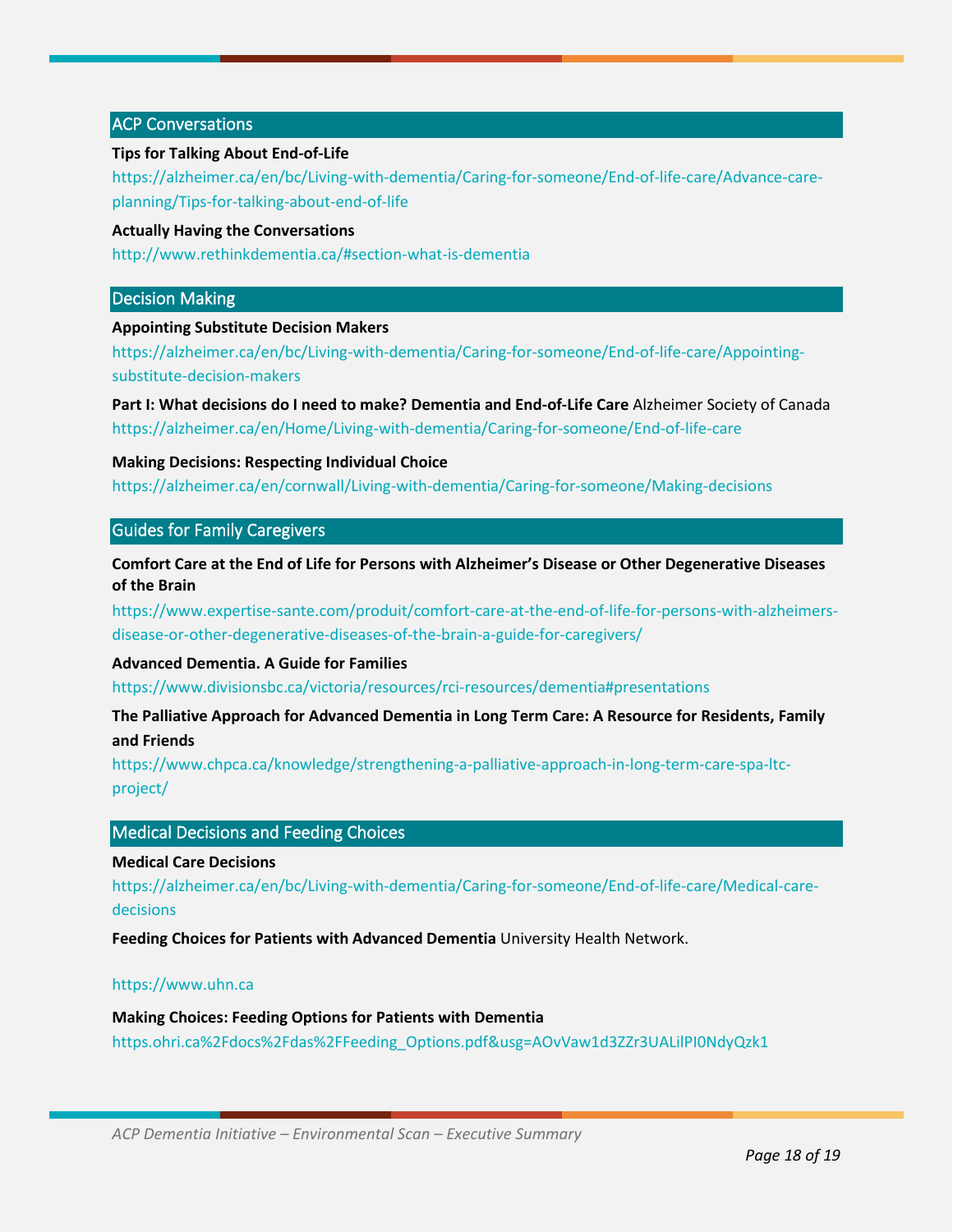#### ACP Conversations

#### **Tips for Talking About End-of-Life**

https://alzheimer.ca/en/bc/Living-with-dementia/Caring-for-someone/End-of-life-care/Advance-careplanning/Tips-for-talking-about-end-of-life

#### **Actually Having the Conversations**

http://www.rethinkdementia.ca/#section-what-is-dementia

#### Decision Making

#### **Appointing Substitute Decision Makers**

https://alzheimer.ca/en/bc/Living-with-dementia/Caring-for-someone/End-of-life-care/Appointingsubstitute-decision-makers

**Part I: What decisions do I need to make? Dementia and End-of-Life Care** Alzheimer Society of Canada https://alzheimer.ca/en/Home/Living-with-dementia/Caring-for-someone/End-of-life-care

#### **Making Decisions: Respecting Individual Choice**

https://alzheimer.ca/en/cornwall/Living-with-dementia/Caring-for-someone/Making-decisions

#### Guides for Family Caregivers

**Comfort Care at the End of Life for Persons with Alzheimer's Disease or Other Degenerative Diseases of the Brain**

https://www.expertise-sante.com/produit/comfort-care-at-the-end-of-life-for-persons-with-alzheimersdisease-or-other-degenerative-diseases-of-the-brain-a-guide-for-caregivers/

#### **Advanced Dementia. A Guide for Families**

https://www.divisionsbc.ca/victoria/resources/rci-resources/dementia#presentations

**The Palliative Approach for Advanced Dementia in Long Term Care: A Resource for Residents, Family and Friends** 

https://www.chpca.ca/knowledge/strengthening-a-palliative-approach-in-long-term-care-spa-ltcproject/

#### Medical Decisions and Feeding Choices

#### **Medical Care Decisions**

https://alzheimer.ca/en/bc/Living-with-dementia/Caring-for-someone/End-of-life-care/Medical-caredecisions

**Feeding Choices for Patients with Advanced Dementia** University Health Network.

#### https://www.uhn.ca

**Making Choices: Feeding Options for Patients with Dementia**  https.ohri.ca%2Fdocs%2Fdas%2FFeeding\_Options.pdf&usg=AOvVaw1d3ZZr3UALilPI0NdyQzk1